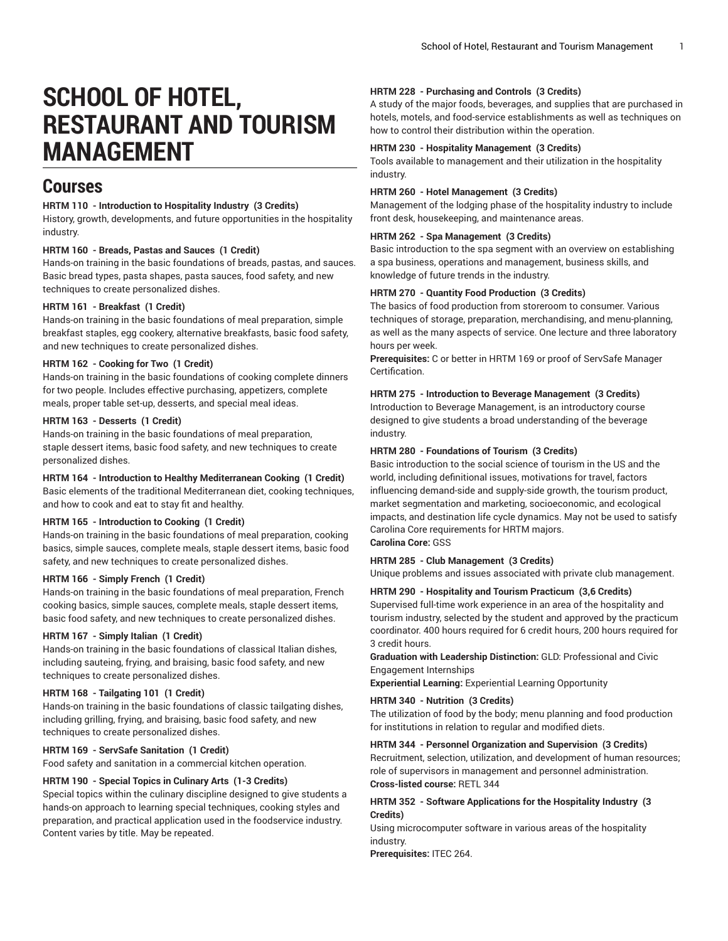# **SCHOOL OF HOTEL, RESTAURANT AND TOURISM MANAGEMENT**

# **Courses**

#### **HRTM 110 - Introduction to Hospitality Industry (3 Credits)**

History, growth, developments, and future opportunities in the hospitality industry.

#### **HRTM 160 - Breads, Pastas and Sauces (1 Credit)**

Hands-on training in the basic foundations of breads, pastas, and sauces. Basic bread types, pasta shapes, pasta sauces, food safety, and new techniques to create personalized dishes.

#### **HRTM 161 - Breakfast (1 Credit)**

Hands-on training in the basic foundations of meal preparation, simple breakfast staples, egg cookery, alternative breakfasts, basic food safety, and new techniques to create personalized dishes.

#### **HRTM 162 - Cooking for Two (1 Credit)**

Hands-on training in the basic foundations of cooking complete dinners for two people. Includes effective purchasing, appetizers, complete meals, proper table set-up, desserts, and special meal ideas.

#### **HRTM 163 - Desserts (1 Credit)**

Hands-on training in the basic foundations of meal preparation, staple dessert items, basic food safety, and new techniques to create personalized dishes.

# **HRTM 164 - Introduction to Healthy Mediterranean Cooking (1 Credit)**

Basic elements of the traditional Mediterranean diet, cooking techniques, and how to cook and eat to stay fit and healthy.

#### **HRTM 165 - Introduction to Cooking (1 Credit)**

Hands-on training in the basic foundations of meal preparation, cooking basics, simple sauces, complete meals, staple dessert items, basic food safety, and new techniques to create personalized dishes.

#### **HRTM 166 - Simply French (1 Credit)**

Hands-on training in the basic foundations of meal preparation, French cooking basics, simple sauces, complete meals, staple dessert items, basic food safety, and new techniques to create personalized dishes.

#### **HRTM 167 - Simply Italian (1 Credit)**

Hands-on training in the basic foundations of classical Italian dishes, including sauteing, frying, and braising, basic food safety, and new techniques to create personalized dishes.

# **HRTM 168 - Tailgating 101 (1 Credit)**

Hands-on training in the basic foundations of classic tailgating dishes, including grilling, frying, and braising, basic food safety, and new techniques to create personalized dishes.

### **HRTM 169 - ServSafe Sanitation (1 Credit)**

Food safety and sanitation in a commercial kitchen operation.

### **HRTM 190 - Special Topics in Culinary Arts (1-3 Credits)**

Special topics within the culinary discipline designed to give students a hands-on approach to learning special techniques, cooking styles and preparation, and practical application used in the foodservice industry. Content varies by title. May be repeated.

#### **HRTM 228 - Purchasing and Controls (3 Credits)**

A study of the major foods, beverages, and supplies that are purchased in hotels, motels, and food-service establishments as well as techniques on how to control their distribution within the operation.

# **HRTM 230 - Hospitality Management (3 Credits)**

Tools available to management and their utilization in the hospitality industry.

#### **HRTM 260 - Hotel Management (3 Credits)**

Management of the lodging phase of the hospitality industry to include front desk, housekeeping, and maintenance areas.

# **HRTM 262 - Spa Management (3 Credits)**

Basic introduction to the spa segment with an overview on establishing a spa business, operations and management, business skills, and knowledge of future trends in the industry.

#### **HRTM 270 - Quantity Food Production (3 Credits)**

The basics of food production from storeroom to consumer. Various techniques of storage, preparation, merchandising, and menu-planning, as well as the many aspects of service. One lecture and three laboratory hours per week.

**Prerequisites:** C or better in HRTM 169 or proof of ServSafe Manager Certification.

#### **HRTM 275 - Introduction to Beverage Management (3 Credits)**

Introduction to Beverage Management, is an introductory course designed to give students a broad understanding of the beverage industry.

#### **HRTM 280 - Foundations of Tourism (3 Credits)**

Basic introduction to the social science of tourism in the US and the world, including definitional issues, motivations for travel, factors influencing demand-side and supply-side growth, the tourism product, market segmentation and marketing, socioeconomic, and ecological impacts, and destination life cycle dynamics. May not be used to satisfy Carolina Core requirements for HRTM majors. **Carolina Core:** GSS

# **HRTM 285 - Club Management (3 Credits)**

Unique problems and issues associated with private club management.

#### **HRTM 290 - Hospitality and Tourism Practicum (3,6 Credits)**

Supervised full-time work experience in an area of the hospitality and tourism industry, selected by the student and approved by the practicum coordinator. 400 hours required for 6 credit hours, 200 hours required for 3 credit hours.

**Graduation with Leadership Distinction:** GLD: Professional and Civic Engagement Internships

**Experiential Learning:** Experiential Learning Opportunity

# **HRTM 340 - Nutrition (3 Credits)**

The utilization of food by the body; menu planning and food production for institutions in relation to regular and modified diets.

#### **HRTM 344 - Personnel Organization and Supervision (3 Credits)**

Recruitment, selection, utilization, and development of human resources; role of supervisors in management and personnel administration. **Cross-listed course:** RETL 344

#### **HRTM 352 - Software Applications for the Hospitality Industry (3 Credits)**

Using microcomputer software in various areas of the hospitality industry.

**Prerequisites:** ITEC 264.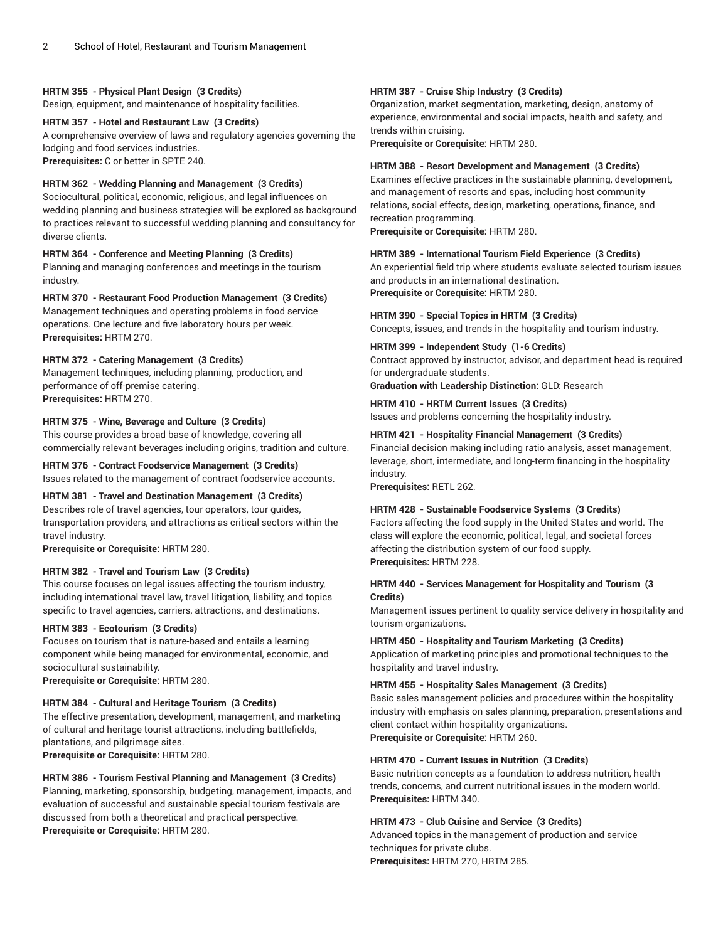# **HRTM 355 - Physical Plant Design (3 Credits)**

Design, equipment, and maintenance of hospitality facilities.

#### **HRTM 357 - Hotel and Restaurant Law (3 Credits)**

A comprehensive overview of laws and regulatory agencies governing the lodging and food services industries. **Prerequisites:** C or better in SPTE 240.

# **HRTM 362 - Wedding Planning and Management (3 Credits)**

Sociocultural, political, economic, religious, and legal influences on wedding planning and business strategies will be explored as background to practices relevant to successful wedding planning and consultancy for diverse clients.

# **HRTM 364 - Conference and Meeting Planning (3 Credits)**

Planning and managing conferences and meetings in the tourism industry.

# **HRTM 370 - Restaurant Food Production Management (3 Credits)**

Management techniques and operating problems in food service operations. One lecture and five laboratory hours per week. **Prerequisites:** HRTM 270.

# **HRTM 372 - Catering Management (3 Credits)**

Management techniques, including planning, production, and performance of off-premise catering. **Prerequisites:** HRTM 270.

# **HRTM 375 - Wine, Beverage and Culture (3 Credits)**

This course provides a broad base of knowledge, covering all commercially relevant beverages including origins, tradition and culture.

# **HRTM 376 - Contract Foodservice Management (3 Credits)**

Issues related to the management of contract foodservice accounts.

# **HRTM 381 - Travel and Destination Management (3 Credits)**

Describes role of travel agencies, tour operators, tour guides, transportation providers, and attractions as critical sectors within the travel industry.

**Prerequisite or Corequisite:** HRTM 280.

### **HRTM 382 - Travel and Tourism Law (3 Credits)**

This course focuses on legal issues affecting the tourism industry, including international travel law, travel litigation, liability, and topics specific to travel agencies, carriers, attractions, and destinations.

# **HRTM 383 - Ecotourism (3 Credits)**

Focuses on tourism that is nature-based and entails a learning component while being managed for environmental, economic, and sociocultural sustainability.

**Prerequisite or Corequisite:** HRTM 280.

#### **HRTM 384 - Cultural and Heritage Tourism (3 Credits)**

The effective presentation, development, management, and marketing of cultural and heritage tourist attractions, including battlefields, plantations, and pilgrimage sites. **Prerequisite or Corequisite:** HRTM 280.

# **HRTM 386 - Tourism Festival Planning and Management (3 Credits)**

Planning, marketing, sponsorship, budgeting, management, impacts, and evaluation of successful and sustainable special tourism festivals are discussed from both a theoretical and practical perspective. **Prerequisite or Corequisite:** HRTM 280.

#### **HRTM 387 - Cruise Ship Industry (3 Credits)**

Organization, market segmentation, marketing, design, anatomy of experience, environmental and social impacts, health and safety, and trends within cruising.

**Prerequisite or Corequisite:** HRTM 280.

#### **HRTM 388 - Resort Development and Management (3 Credits)**

Examines effective practices in the sustainable planning, development, and management of resorts and spas, including host community relations, social effects, design, marketing, operations, finance, and recreation programming.

**Prerequisite or Corequisite:** HRTM 280.

#### **HRTM 389 - International Tourism Field Experience (3 Credits)**

An experiential field trip where students evaluate selected tourism issues and products in an international destination. **Prerequisite or Corequisite:** HRTM 280.

**HRTM 390 - Special Topics in HRTM (3 Credits)** Concepts, issues, and trends in the hospitality and tourism industry.

#### **HRTM 399 - Independent Study (1-6 Credits)**

Contract approved by instructor, advisor, and department head is required for undergraduate students.

**Graduation with Leadership Distinction:** GLD: Research

# **HRTM 410 - HRTM Current Issues (3 Credits)**

Issues and problems concerning the hospitality industry.

#### **HRTM 421 - Hospitality Financial Management (3 Credits)**

Financial decision making including ratio analysis, asset management, leverage, short, intermediate, and long-term financing in the hospitality industry.

**Prerequisites:** RETL 262.

#### **HRTM 428 - Sustainable Foodservice Systems (3 Credits)**

Factors affecting the food supply in the United States and world. The class will explore the economic, political, legal, and societal forces affecting the distribution system of our food supply. **Prerequisites:** HRTM 228.

# **HRTM 440 - Services Management for Hospitality and Tourism (3 Credits)**

Management issues pertinent to quality service delivery in hospitality and tourism organizations.

**HRTM 450 - Hospitality and Tourism Marketing (3 Credits)**

Application of marketing principles and promotional techniques to the hospitality and travel industry.

# **HRTM 455 - Hospitality Sales Management (3 Credits)**

Basic sales management policies and procedures within the hospitality industry with emphasis on sales planning, preparation, presentations and client contact within hospitality organizations. **Prerequisite or Corequisite:** HRTM 260.

#### **HRTM 470 - Current Issues in Nutrition (3 Credits)**

Basic nutrition concepts as a foundation to address nutrition, health trends, concerns, and current nutritional issues in the modern world. **Prerequisites:** HRTM 340.

# **HRTM 473 - Club Cuisine and Service (3 Credits)**

Advanced topics in the management of production and service techniques for private clubs. **Prerequisites:** HRTM 270, HRTM 285.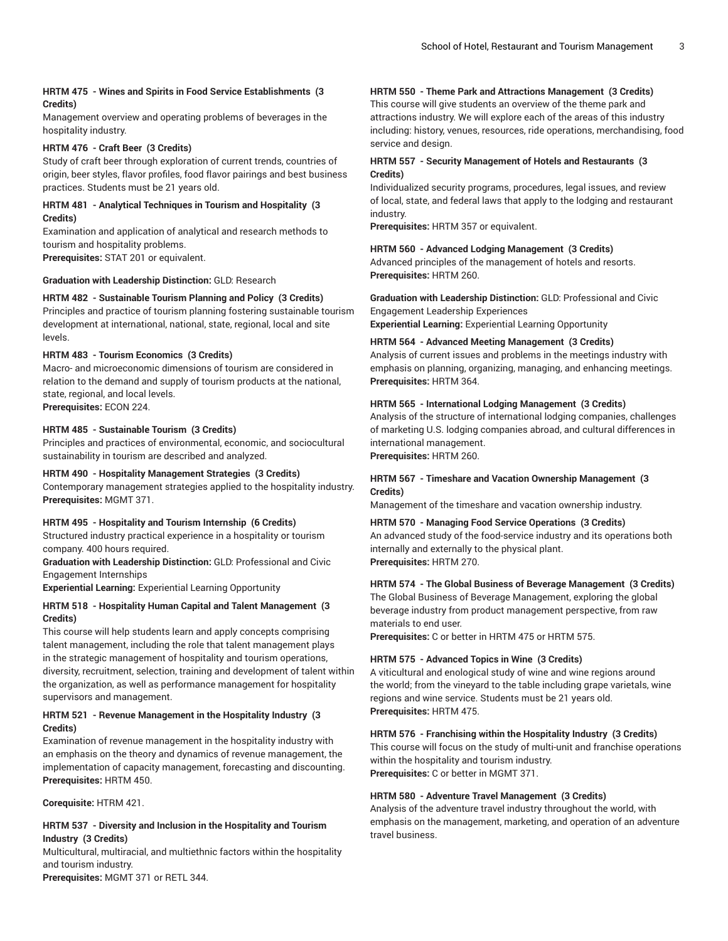# **HRTM 475 - Wines and Spirits in Food Service Establishments (3 Credits)**

Management overview and operating problems of beverages in the hospitality industry.

### **HRTM 476 - Craft Beer (3 Credits)**

Study of craft beer through exploration of current trends, countries of origin, beer styles, flavor profiles, food flavor pairings and best business practices. Students must be 21 years old.

# **HRTM 481 - Analytical Techniques in Tourism and Hospitality (3 Credits)**

Examination and application of analytical and research methods to tourism and hospitality problems. **Prerequisites:** STAT 201 or equivalent.

**Graduation with Leadership Distinction:** GLD: Research

# **HRTM 482 - Sustainable Tourism Planning and Policy (3 Credits)**

Principles and practice of tourism planning fostering sustainable tourism development at international, national, state, regional, local and site levels.

# **HRTM 483 - Tourism Economics (3 Credits)**

Macro- and microeconomic dimensions of tourism are considered in relation to the demand and supply of tourism products at the national, state, regional, and local levels.

**Prerequisites:** ECON 224.

# **HRTM 485 - Sustainable Tourism (3 Credits)**

Principles and practices of environmental, economic, and sociocultural sustainability in tourism are described and analyzed.

#### **HRTM 490 - Hospitality Management Strategies (3 Credits)**

Contemporary management strategies applied to the hospitality industry. **Prerequisites:** MGMT 371.

#### **HRTM 495 - Hospitality and Tourism Internship (6 Credits)**

Structured industry practical experience in a hospitality or tourism company. 400 hours required.

# **Graduation with Leadership Distinction:** GLD: Professional and Civic Engagement Internships

**Experiential Learning:** Experiential Learning Opportunity

# **HRTM 518 - Hospitality Human Capital and Talent Management (3 Credits)**

This course will help students learn and apply concepts comprising talent management, including the role that talent management plays in the strategic management of hospitality and tourism operations, diversity, recruitment, selection, training and development of talent within the organization, as well as performance management for hospitality supervisors and management.

# **HRTM 521 - Revenue Management in the Hospitality Industry (3 Credits)**

Examination of revenue management in the hospitality industry with an emphasis on the theory and dynamics of revenue management, the implementation of capacity management, forecasting and discounting. **Prerequisites:** HRTM 450.

**Corequisite:** HTRM 421.

# **HRTM 537 - Diversity and Inclusion in the Hospitality and Tourism Industry (3 Credits)**

Multicultural, multiracial, and multiethnic factors within the hospitality and tourism industry.

**Prerequisites:** MGMT 371 or RETL 344.

# **HRTM 550 - Theme Park and Attractions Management (3 Credits)**

This course will give students an overview of the theme park and attractions industry. We will explore each of the areas of this industry including: history, venues, resources, ride operations, merchandising, food service and design.

# **HRTM 557 - Security Management of Hotels and Restaurants (3 Credits)**

Individualized security programs, procedures, legal issues, and review of local, state, and federal laws that apply to the lodging and restaurant industry.

**Prerequisites:** HRTM 357 or equivalent.

#### **HRTM 560 - Advanced Lodging Management (3 Credits)**

Advanced principles of the management of hotels and resorts. **Prerequisites:** HRTM 260.

**Graduation with Leadership Distinction:** GLD: Professional and Civic Engagement Leadership Experiences **Experiential Learning:** Experiential Learning Opportunity

**HRTM 564 - Advanced Meeting Management (3 Credits)**

Analysis of current issues and problems in the meetings industry with emphasis on planning, organizing, managing, and enhancing meetings. **Prerequisites:** HRTM 364.

# **HRTM 565 - International Lodging Management (3 Credits)**

Analysis of the structure of international lodging companies, challenges of marketing U.S. lodging companies abroad, and cultural differences in international management.

**Prerequisites:** HRTM 260.

# **HRTM 567 - Timeshare and Vacation Ownership Management (3 Credits)**

Management of the timeshare and vacation ownership industry.

#### **HRTM 570 - Managing Food Service Operations (3 Credits)**

An advanced study of the food-service industry and its operations both internally and externally to the physical plant. **Prerequisites:** HRTM 270.

# **HRTM 574 - The Global Business of Beverage Management (3 Credits)**

The Global Business of Beverage Management, exploring the global beverage industry from product management perspective, from raw materials to end user.

**Prerequisites:** C or better in HRTM 475 or HRTM 575.

# **HRTM 575 - Advanced Topics in Wine (3 Credits)**

A viticultural and enological study of wine and wine regions around the world; from the vineyard to the table including grape varietals, wine regions and wine service. Students must be 21 years old. **Prerequisites:** HRTM 475.

#### **HRTM 576 - Franchising within the Hospitality Industry (3 Credits)**

This course will focus on the study of multi-unit and franchise operations within the hospitality and tourism industry. **Prerequisites:** C or better in MGMT 371.

#### **HRTM 580 - Adventure Travel Management (3 Credits)**

Analysis of the adventure travel industry throughout the world, with emphasis on the management, marketing, and operation of an adventure travel business.